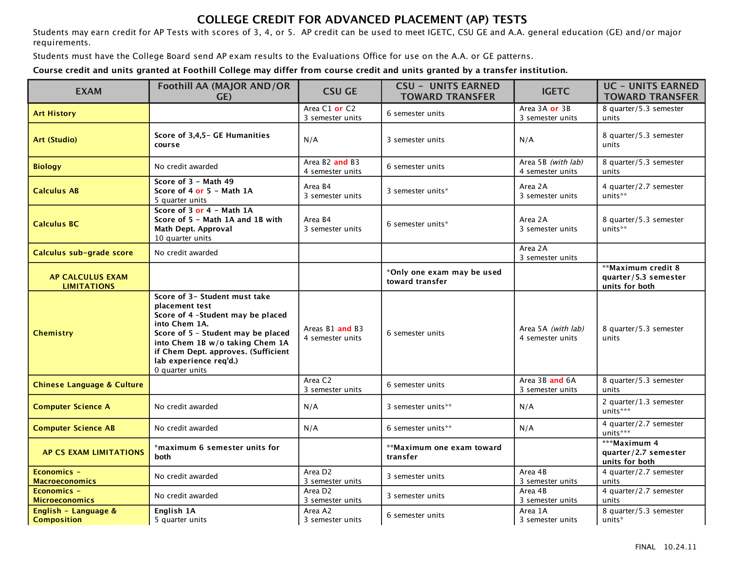## **COLLEGE CREDIT FOR ADVANCED PLACEMENT (AP) TESTS**

Students may earn credit for AP Tests with scores of 3, 4, or 5. AP credit can be used to meet IGETC, CSU GE and A.A. general education (GE) and/or major requirements.

Students must have the College Board send AP exam results to the Evaluations Office for use on the A.A. or GE patterns.

**Course credit and units granted at Foothill College may differ from course credit and units granted by a transfer institution.**

| <b>EXAM</b>                                   | Foothill AA (MAJOR AND/OR<br>GE)                                                                                                                                                                                                                                   | <b>CSU GE</b>                                              | <b>CSU - UNITS EARNED</b><br><b>TOWARD TRANSFER</b> | <b>IGETC</b>                           | <b>UC - UNITS EARNED</b><br><b>TOWARD TRANSFER</b>           |
|-----------------------------------------------|--------------------------------------------------------------------------------------------------------------------------------------------------------------------------------------------------------------------------------------------------------------------|------------------------------------------------------------|-----------------------------------------------------|----------------------------------------|--------------------------------------------------------------|
| <b>Art History</b>                            |                                                                                                                                                                                                                                                                    | Area C1 or C2<br>3 semester units                          | 6 semester units                                    | Area 3A or 3B<br>3 semester units      | 8 quarter/5.3 semester<br>units                              |
| <b>Art (Studio)</b>                           | Score of 3,4,5 – GE Humanities<br>course                                                                                                                                                                                                                           | N/A                                                        | 3 semester units                                    | N/A                                    | 8 quarter/5.3 semester<br>units                              |
| <b>Biology</b>                                | No credit awarded                                                                                                                                                                                                                                                  | Area B <sub>2</sub> and B <sub>3</sub><br>4 semester units | 6 semester units                                    | Area 5B (with lab)<br>4 semester units | 8 quarter/5.3 semester<br>units                              |
| <b>Calculus AB</b>                            | Score of 3 - Math 49<br>Score of 4 or 5 - Math 1A<br>5 quarter units                                                                                                                                                                                               | Area B4<br>3 semester units                                | 3 semester units*                                   | Area 2A<br>3 semester units            | 4 quarter/2.7 semester<br>units**                            |
| <b>Calculus BC</b>                            | Score of 3 or 4 - Math 1A<br>Score of 5 - Math 1A and 1B with<br>Math Dept. Approval<br>10 quarter units                                                                                                                                                           | Area B4<br>3 semester units                                | 6 semester units*                                   | Area 2A<br>3 semester units            | 8 quarter/5.3 semester<br>units**                            |
| Calculus sub-grade score                      | No credit awarded                                                                                                                                                                                                                                                  |                                                            |                                                     | Area 2A<br>3 semester units            |                                                              |
| <b>AP CALCULUS EXAM</b><br><b>LIMITATIONS</b> |                                                                                                                                                                                                                                                                    |                                                            | *Only one exam may be used<br>toward transfer       |                                        | **Maximum credit 8<br>quarter/5.3 semester<br>units for both |
| <b>Chemistry</b>                              | Score of 3- Student must take<br>placement test<br>Score of 4 -Student may be placed<br>into Chem 1A.<br>Score of 5 - Student may be placed<br>into Chem 1B w/o taking Chem 1A<br>if Chem Dept. approves. (Sufficient<br>lab experience req'd.)<br>0 quarter units | Areas B1 and B3<br>4 semester units                        | 6 semester units                                    | Area 5A (with lab)<br>4 semester units | 8 quarter/5.3 semester<br>units                              |
| <b>Chinese Language &amp; Culture</b>         |                                                                                                                                                                                                                                                                    | Area C <sub>2</sub><br>3 semester units                    | 6 semester units                                    | Area 3B and 6A<br>3 semester units     | 8 quarter/5.3 semester<br>units                              |
| <b>Computer Science A</b>                     | No credit awarded                                                                                                                                                                                                                                                  | N/A                                                        | 3 semester units**                                  | N/A                                    | 2 quarter/1.3 semester<br>units***                           |
| <b>Computer Science AB</b>                    | No credit awarded                                                                                                                                                                                                                                                  | N/A                                                        | 6 semester units**                                  | N/A                                    | 4 quarter/2.7 semester<br>units***                           |
| AP CS EXAM LIMITATIONS                        | *maximum 6 semester units for<br>both                                                                                                                                                                                                                              |                                                            | **Maximum one exam toward<br>transfer               |                                        | ***Maximum 4<br>quarter/2.7 semester<br>units for both       |
| Economics -<br><b>Macroeconomics</b>          | No credit awarded                                                                                                                                                                                                                                                  | Area D <sub>2</sub><br>3 semester units                    | 3 semester units                                    | Area 4B<br>3 semester units            | 4 quarter/2.7 semester<br>units                              |
| Economics -<br><b>Microeconomics</b>          | No credit awarded                                                                                                                                                                                                                                                  | Area D <sub>2</sub><br>3 semester units                    | 3 semester units                                    | Area 4B<br>3 semester units            | 4 quarter/2.7 semester<br>units                              |
| English - Language &<br><b>Composition</b>    | English 1A<br>5 quarter units                                                                                                                                                                                                                                      | Area A2<br>3 semester units                                | 6 semester units                                    | Area 1A<br>3 semester units            | 8 quarter/5.3 semester<br>units*                             |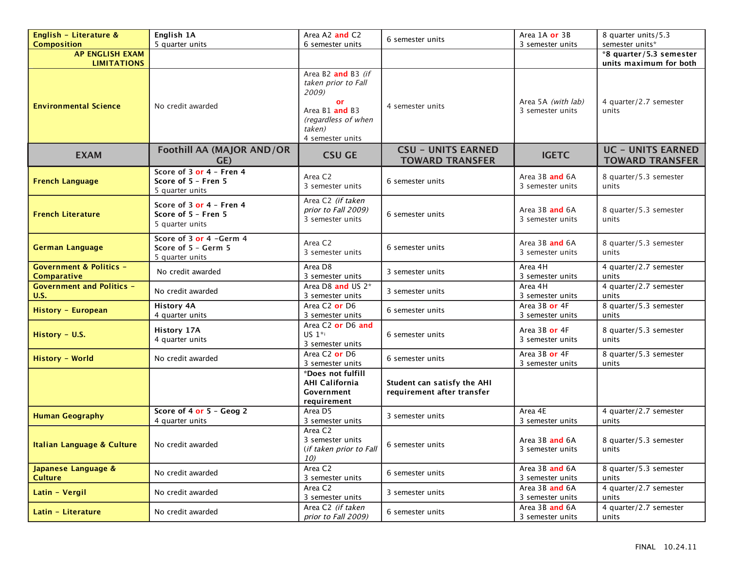| English - Literature &                                   | English 1A                                                         | Area A2 and C2                                                                                                                  | 6 semester units                                          | Area 1A or 3B                          | 8 quarter units/5.3                                |
|----------------------------------------------------------|--------------------------------------------------------------------|---------------------------------------------------------------------------------------------------------------------------------|-----------------------------------------------------------|----------------------------------------|----------------------------------------------------|
| <b>Composition</b>                                       | 5 quarter units                                                    | 6 semester units                                                                                                                |                                                           | 3 semester units                       | semester units*                                    |
| <b>AP ENGLISH EXAM</b><br><b>LIMITATIONS</b>             |                                                                    |                                                                                                                                 |                                                           |                                        | *8 quarter/5.3 semester<br>units maximum for both  |
| <b>Environmental Science</b>                             | No credit awarded                                                  | Area B2 and B3 (if<br>taken prior to Fall<br>2009)<br>or<br>Area B1 and B3<br>(regardless of when<br>taken)<br>4 semester units | 4 semester units                                          | Area 5A (with lab)<br>3 semester units | 4 quarter/2.7 semester<br>units                    |
| <b>EXAM</b>                                              | <b>Foothill AA (MAJOR AND/OR</b><br>GE)                            | <b>CSU GE</b>                                                                                                                   | <b>CSU - UNITS EARNED</b><br><b>TOWARD TRANSFER</b>       | <b>IGETC</b>                           | <b>UC - UNITS EARNED</b><br><b>TOWARD TRANSFER</b> |
| <b>French Language</b>                                   | Score of 3 or 4 - Fren 4<br>Score of 5 - Fren 5<br>5 quarter units | Area C <sub>2</sub><br>3 semester units                                                                                         | 6 semester units                                          | Area 3B and 6A<br>3 semester units     | 8 quarter/5.3 semester<br>units                    |
| <b>French Literature</b>                                 | Score of 3 or 4 - Fren 4<br>Score of 5 - Fren 5<br>5 quarter units | Area C2 (if taken<br>prior to Fall 2009)<br>3 semester units                                                                    | 6 semester units                                          | Area 3B and 6A<br>3 semester units     | 8 quarter/5.3 semester<br>units                    |
| <b>German Language</b>                                   | Score of 3 or 4 -Germ 4<br>Score of 5 - Germ 5<br>5 quarter units  | Area C <sub>2</sub><br>3 semester units                                                                                         | 6 semester units                                          | Area 3B and 6A<br>3 semester units     | 8 quarter/5.3 semester<br>units                    |
| <b>Government &amp; Politics -</b><br><b>Comparative</b> | No credit awarded                                                  | Area D8<br>3 semester units                                                                                                     | 3 semester units                                          | Area 4H<br>3 semester units            | 4 quarter/2.7 semester<br>units                    |
| <b>Government and Politics -</b><br><b>U.S.</b>          | No credit awarded                                                  | Area D8 and US 2*<br>3 semester units                                                                                           | 3 semester units                                          | Area 4H<br>3 semester units            | 4 quarter/2.7 semester<br>units                    |
| History - European                                       | <b>History 4A</b><br>4 quarter units                               | Area C <sub>2</sub> or D <sub>6</sub><br>3 semester units                                                                       | 6 semester units                                          | Area 3B or 4F<br>3 semester units      | 8 quarter/5.3 semester<br>units                    |
| History - U.S.                                           | History 17A<br>4 quarter units                                     | Area C2 or D6 and<br>US $1**$<br>3 semester units                                                                               | 6 semester units                                          | Area 3B or 4F<br>3 semester units      | 8 quarter/5.3 semester<br>units                    |
| History - World                                          | No credit awarded                                                  | Area C <sub>2</sub> or D <sub>6</sub><br>3 semester units                                                                       | 6 semester units                                          | Area 3B or 4F<br>3 semester units      | 8 quarter/5.3 semester<br>units                    |
|                                                          |                                                                    | *Does not fulfill<br><b>AHI California</b><br>Government<br>requirement                                                         | Student can satisfy the AHI<br>requirement after transfer |                                        |                                                    |
| <b>Human Geography</b>                                   | Score of 4 or 5 - Geog 2<br>4 quarter units                        | Area D5<br>3 semester units                                                                                                     | 3 semester units                                          | Area 4E<br>3 semester units            | 4 quarter/2.7 semester<br>units                    |
| <b>Italian Language &amp; Culture</b>                    | No credit awarded                                                  | Area C <sub>2</sub><br>3 semester units<br>(if taken prior to Fall<br>10)                                                       | 6 semester units                                          | Area 3B and 6A<br>3 semester units     | 8 quarter/5.3 semester<br>units                    |
| Japanese Language &<br><b>Culture</b>                    | No credit awarded                                                  | Area C <sub>2</sub><br>3 semester units                                                                                         | 6 semester units                                          | Area 3B and 6A<br>3 semester units     | 8 quarter/5.3 semester<br>units                    |
| Latin - Vergil                                           | No credit awarded                                                  | Area C <sub>2</sub><br>3 semester units                                                                                         | 3 semester units                                          | Area 3B and 6A<br>3 semester units     | 4 quarter/2.7 semester<br>units                    |
| Latin - Literature                                       | No credit awarded                                                  | Area C2 (if taken<br>prior to Fall 2009)                                                                                        | 6 semester units                                          | Area 3B and 6A<br>3 semester units     | 4 quarter/2.7 semester<br>units                    |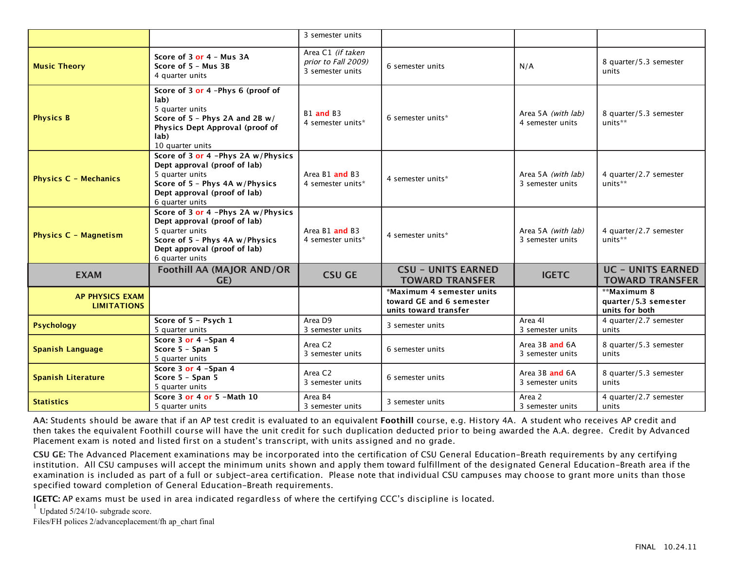|                                              |                                                                                                                                                                            | 3 semester units                                             |                                                                                |                                        |                                                       |
|----------------------------------------------|----------------------------------------------------------------------------------------------------------------------------------------------------------------------------|--------------------------------------------------------------|--------------------------------------------------------------------------------|----------------------------------------|-------------------------------------------------------|
| <b>Music Theory</b>                          | Score of 3 or 4 - Mus 3A<br>Score of 5 - Mus 3B<br>4 quarter units                                                                                                         | Area C1 (if taken<br>prior to Fall 2009)<br>3 semester units | 6 semester units                                                               | N/A                                    | 8 quarter/5.3 semester<br>units                       |
| <b>Physics B</b>                             | Score of 3 or 4 -Phys 6 (proof of<br>lab)<br>5 quarter units<br>Score of $5$ - Phys 2A and 2B $w/$<br>Physics Dept Approval (proof of<br>lab)<br>10 quarter units          | B <sub>1</sub> and B <sub>3</sub><br>4 semester units*       | 6 semester units*                                                              | Area 5A (with lab)<br>4 semester units | 8 quarter/5.3 semester<br>units**                     |
| <b>Physics C - Mechanics</b>                 | Score of 3 or 4 -Phys 2A w/Physics<br>Dept approval (proof of lab)<br>5 quarter units<br>Score of 5 - Phys 4A w/Physics<br>Dept approval (proof of lab)<br>6 quarter units | Area B1 and B3<br>4 semester units*                          | 4 semester units*                                                              | Area 5A (with lab)<br>3 semester units | 4 quarter/2.7 semester<br>units**                     |
| <b>Physics C - Magnetism</b>                 | Score of 3 or 4 -Phys 2A w/Physics<br>Dept approval (proof of lab)<br>5 quarter units<br>Score of 5 - Phys 4A w/Physics<br>Dept approval (proof of lab)<br>6 quarter units | Area B1 and B3<br>4 semester units*                          | 4 semester units*                                                              | Area 5A (with lab)<br>3 semester units | 4 quarter/2.7 semester<br>units**                     |
| <b>EXAM</b>                                  | <b>Foothill AA (MAJOR AND/OR</b><br>GE)                                                                                                                                    | <b>CSU GE</b>                                                | <b>CSU - UNITS EARNED</b><br><b>TOWARD TRANSFER</b>                            | <b>IGETC</b>                           | <b>UC - UNITS EARNED</b><br><b>TOWARD TRANSFER</b>    |
| <b>AP PHYSICS EXAM</b><br><b>LIMITATIONS</b> |                                                                                                                                                                            |                                                              | *Maximum 4 semester units<br>toward GE and 6 semester<br>units toward transfer |                                        | **Maximum 8<br>quarter/5.3 semester<br>units for both |
| <b>Psychology</b>                            | Score of 5 - Psych 1<br>5 quarter units                                                                                                                                    | Area D9<br>3 semester units                                  | 3 semester units                                                               | Area 41<br>3 semester units            | 4 quarter/2.7 semester<br>units                       |
| <b>Spanish Language</b>                      | Score 3 or 4 -Span 4<br>Score 5 - Span 5<br>5 quarter units                                                                                                                | Area C <sub>2</sub><br>3 semester units                      | 6 semester units                                                               | Area 3B and 6A<br>3 semester units     | 8 quarter/5.3 semester<br>units                       |
| <b>Spanish Literature</b>                    | Score 3 or 4 -Span 4<br>Score 5 - Span 5<br>5 quarter units                                                                                                                | Area C <sub>2</sub><br>3 semester units                      | 6 semester units                                                               | Area 3B and 6A<br>3 semester units     | 8 quarter/5.3 semester<br>units                       |
| <b>Statistics</b>                            | Score 3 or 4 or 5 - Math 10<br>5 quarter units                                                                                                                             | Area B4<br>3 semester units                                  | 3 semester units                                                               | Area 2<br>3 semester units             | 4 quarter/2.7 semester<br>units                       |

**AA:** Students should be aware that if an AP test credit is evaluated to an equivalent **Foothill** course, e.g. History 4A. A student who receives AP credit and then takes the equivalent Foothill course will have the unit credit for such duplication deducted prior to being awarded the A.A. degree. Credit by Advanced Placement exam is noted and listed first on a student's transcript, with units assigned and no grade.

**CSU GE:** The Advanced Placement examinations may be incorporated into the certification of CSU General Education-Breath requirements by any certifying institution. All CSU campuses will accept the minimum units shown and apply them toward fulfillment of the designated General Education-Breath area if the examination is included as part of a full or subject-area certification. Please note that individual CSU campuses may choose to grant more units than those specified toward completion of General Education-Breath requirements.

**IGETC:** AP exams must be used in area indicated regardless of where the certifying CCC's discipline is located.

 $1$  Updated 5/24/10- subgrade score.

Files/FH polices 2/advanceplacement/fh ap\_chart final